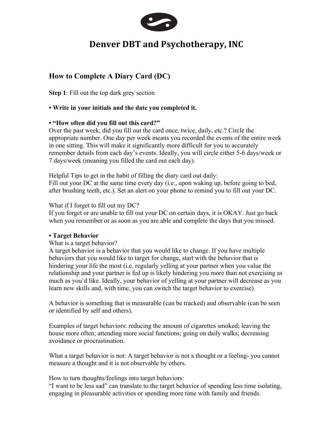

# **Denver DBT** and Psychotherapy, INC

## **How to Complete A Diary Card (DC)**

**Step 1**: Fill out the top dark grey section

## **• Write in your initials and the date you completed it.**

## **• "How often did you fill out this card?"**

Over the past week, did you fill out the card once, twice, daily, etc.? Circle the appropriate number. One day per week means you recorded the events of the entire week in one sitting. This will make it significantly more difficult for you to accurately remember details from each day's events. Ideally, you will circle either 5-6 days/week or 7 days/week (meaning you filled the card out each day).

Helpful Tips to get in the habit of filling the diary card out daily: Fill out your DC at the same time every day (i.e., upon waking up, before going to bed, after brushing teeth, etc.). Set an alert on your phone to remind you to fill out your DC.

What if I forget to fill out my DC?

If you forget or are unable to fill out your DC on certain days, it is OKAY. Just go back when you remember or as soon as you are able and complete the days that you missed.

#### **• Target Behavior**

What is a target behavior?

A target behavior is a behavior that you would like to change. If you have multiple behaviors that you would like to target for change, start with the behavior that is hindering your life the most (i.e. regularly yelling at your partner when you value the relationship and your partner is fed up is likely hindering you more than not exercising as much as you'd like. Ideally, your behavior of yelling at your partner will decrease as you learn new skills and, with time, you can switch the target behavior to exercise).

A behavior is something that is measurable (can be tracked) and observable (can be seen or identified by self and others).

Examples of target behaviors: reducing the amount of cigarettes smoked; leaving the house more often; attending more social functions; going on daily walks; decreasing avoidance or procrastination.

What a target behavior is not: A target behavior is not a thought or a feeling- you cannot measure a thought and it is not observable by others.

How to turn thoughts/feelings into target behaviors:

"I want to be less sad" can translate to the target behavior of spending less time isolating, engaging in pleasurable activities or spending more time with family and friends.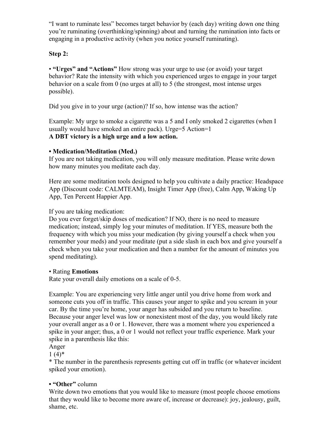"I want to ruminate less" becomes target behavior by (each day) writing down one thing you're ruminating (overthinking/spinning) about and turning the rumination into facts or engaging in a productive activity (when you notice yourself ruminating).

## **Step 2:**

• **"Urges" and "Actions"** How strong was your urge to use (or avoid) your target behavior? Rate the intensity with which you experienced urges to engage in your target behavior on a scale from 0 (no urges at all) to 5 (the strongest, most intense urges possible).

Did you give in to your urge (action)? If so, how intense was the action?

Example: My urge to smoke a cigarette was a 5 and I only smoked 2 cigarettes (when I usually would have smoked an entire pack). Urge=5 Action=1 **A DBT victory is a high urge and a low action.**

## **• Medication/Meditation (Med.)**

If you are not taking medication, you will only measure meditation. Please write down how many minutes you meditate each day.

Here are some meditation tools designed to help you cultivate a daily practice: Headspace App (Discount code: CALMTEAM), Insight Timer App (free), Calm App, Waking Up App, Ten Percent Happier App.

## If you are taking medication:

Do you ever forget/skip doses of medication? If NO, there is no need to measure medication; instead, simply log your minutes of meditation. If YES, measure both the frequency with which you miss your medication (by giving yourself a check when you remember your meds) and your meditate (put a side slash in each box and give yourself a check when you take your medication and then a number for the amount of minutes you spend meditating).

#### • Rating **Emotions**

Rate your overall daily emotions on a scale of 0-5.

Example: You are experiencing very little anger until you drive home from work and someone cuts you off in traffic. This causes your anger to spike and you scream in your car. By the time you're home, your anger has subsided and you return to baseline. Because your anger level was low or nonexistent most of the day, you would likely rate your overall anger as a 0 or 1. However, there was a moment where you experienced a spike in your anger; thus, a 0 or 1 would not reflect your traffic experience. Mark your spike in a parenthesis like this:

Anger

 $1(4)$ \*

\* The number in the parenthesis represents getting cut off in traffic (or whatever incident spiked your emotion).

## **• "Other"** column

Write down two emotions that you would like to measure (most people choose emotions that they would like to become more aware of, increase or decrease): joy, jealousy, guilt, shame, etc.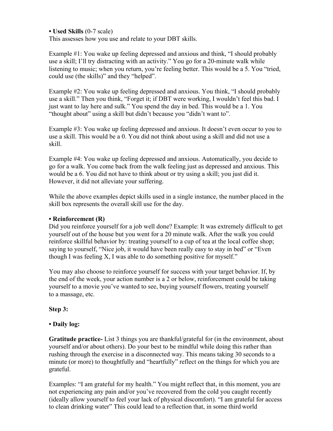**• Used Skills** (0-7 scale)

This assesses how you use and relate to your DBT skills.

Example #1: You wake up feeling depressed and anxious and think, "I should probably use a skill; I'll try distracting with an activity." You go for a 20-minute walk while listening to music; when you return, you're feeling better. This would be a 5. You "tried, could use (the skills)" and they "helped".

Example #2: You wake up feeling depressed and anxious. You think, "I should probably use a skill." Then you think, "Forget it; if DBT were working, I wouldn't feel this bad. I just want to lay here and sulk." You spend the day in bed. This would be a 1. You "thought about" using a skill but didn't because you "didn't want to".

Example #3: You wake up feeling depressed and anxious. It doesn't even occur to you to use a skill. This would be a 0. You did not think about using a skill and did not use a skill.

Example #4: You wake up feeling depressed and anxious. Automatically, you decide to go for a walk. You come back from the walk feeling just as depressed and anxious. This would be a 6. You did not have to think about or try using a skill; you just did it. However, it did not alleviate your suffering.

While the above examples depict skills used in a single instance, the number placed in the skill box represents the overall skill use for the day.

#### **• Reinforcement (R)**

Did you reinforce yourself for a job well done? Example: It was extremely difficult to get yourself out of the house but you went for a 20 minute walk. After the walk you could reinforce skillful behavior by: treating yourself to a cup of tea at the local coffee shop; saying to yourself, "Nice job, it would have been really easy to stay in bed" or "Even" though I was feeling X, I was able to do something positive for myself."

You may also choose to reinforce yourself for success with your target behavior. If, by the end of the week, your action number is a 2 or below, reinforcement could be taking yourself to a movie you've wanted to see, buying yourself flowers, treating yourself to a massage, etc.

#### **Step 3:**

#### **• Daily log:**

**Gratitude practice-** List 3 things you are thankful/grateful for (in the environment, about yourself and/or about others). Do your best to be mindful while doing this rather than rushing through the exercise in a disconnected way. This means taking 30 seconds to a minute (or more) to thoughtfully and "heartfully" reflect on the things for which you are grateful.

Examples: "I am grateful for my health." You might reflect that, in this moment, you are not experiencing any pain and/or you've recovered from the cold you caught recently (ideally allow yourself to feel your lack of physical discomfort). "I am grateful for access to clean drinking water" This could lead to a reflection that, in some third world